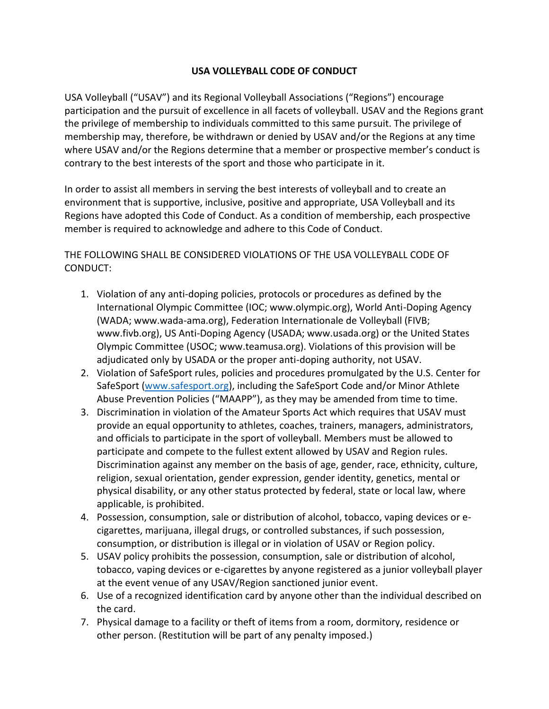## **USA VOLLEYBALL CODE OF CONDUCT**

USA Volleyball ("USAV") and its Regional Volleyball Associations ("Regions") encourage participation and the pursuit of excellence in all facets of volleyball. USAV and the Regions grant the privilege of membership to individuals committed to this same pursuit. The privilege of membership may, therefore, be withdrawn or denied by USAV and/or the Regions at any time where USAV and/or the Regions determine that a member or prospective member's conduct is contrary to the best interests of the sport and those who participate in it.

In order to assist all members in serving the best interests of volleyball and to create an environment that is supportive, inclusive, positive and appropriate, USA Volleyball and its Regions have adopted this Code of Conduct. As a condition of membership, each prospective member is required to acknowledge and adhere to this Code of Conduct.

## THE FOLLOWING SHALL BE CONSIDERED VIOLATIONS OF THE USA VOLLEYBALL CODE OF CONDUCT:

- 1. Violation of any anti-doping policies, protocols or procedures as defined by the International Olympic Committee (IOC; www.olympic.org), World Anti-Doping Agency (WADA; www.wada-ama.org), Federation Internationale de Volleyball (FIVB; www.fivb.org), US Anti-Doping Agency (USADA; www.usada.org) or the United States Olympic Committee (USOC; www.teamusa.org). Violations of this provision will be adjudicated only by USADA or the proper anti-doping authority, not USAV.
- 2. Violation of SafeSport rules, policies and procedures promulgated by the U.S. Center for SafeSport [\(www.safesport.org\)](http://www.safesport.org/), including the SafeSport Code and/or Minor Athlete Abuse Prevention Policies ("MAAPP"), as they may be amended from time to time.
- 3. Discrimination in violation of the Amateur Sports Act which requires that USAV must provide an equal opportunity to athletes, coaches, trainers, managers, administrators, and officials to participate in the sport of volleyball. Members must be allowed to participate and compete to the fullest extent allowed by USAV and Region rules. Discrimination against any member on the basis of age, gender, race, ethnicity, culture, religion, sexual orientation, gender expression, gender identity, genetics, mental or physical disability, or any other status protected by federal, state or local law, where applicable, is prohibited.
- 4. Possession, consumption, sale or distribution of alcohol, tobacco, vaping devices or ecigarettes, marijuana, illegal drugs, or controlled substances, if such possession, consumption, or distribution is illegal or in violation of USAV or Region policy.
- 5. USAV policy prohibits the possession, consumption, sale or distribution of alcohol, tobacco, vaping devices or e-cigarettes by anyone registered as a junior volleyball player at the event venue of any USAV/Region sanctioned junior event.
- 6. Use of a recognized identification card by anyone other than the individual described on the card.
- 7. Physical damage to a facility or theft of items from a room, dormitory, residence or other person. (Restitution will be part of any penalty imposed.)